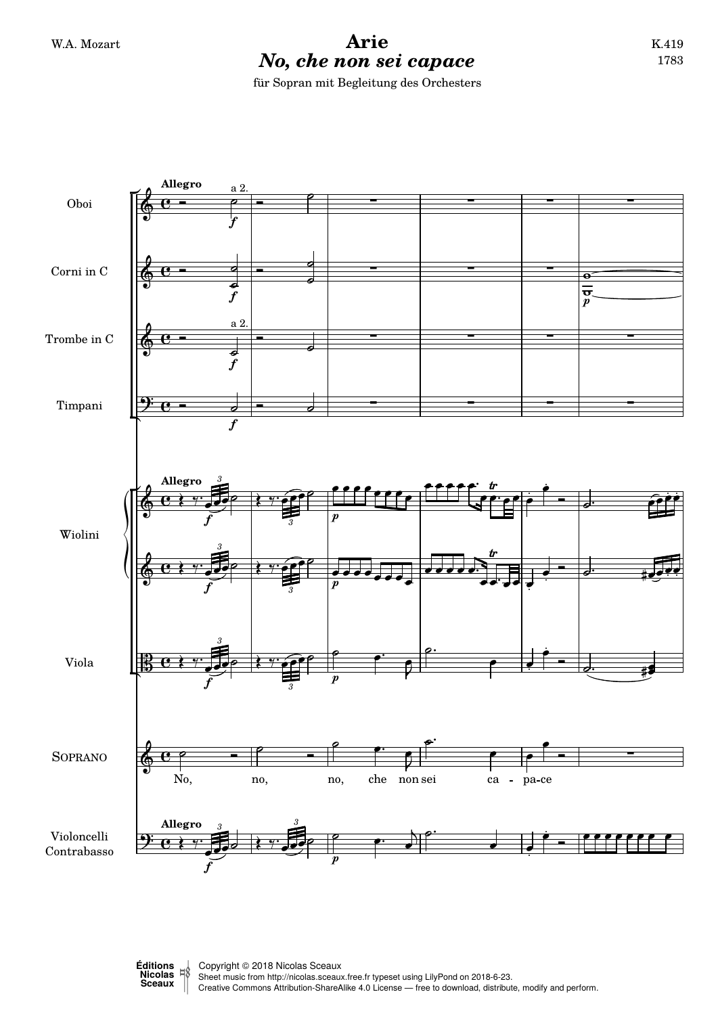## W.A. Mozart **Arie** *No, che non sei capace* für Sopran mit Begleitung des Orchesters





 <sup>ǀ</sup> Copyright © 2018 Nicolas Sceaux Sheet music from<http://nicolas.sceaux.free.fr> typeset using [LilyPond](http://lilypond.org) on 2018-6-23. Creative Commons Attribution-ShareAlike 4.0 License — free to download, distribute, modify and perform.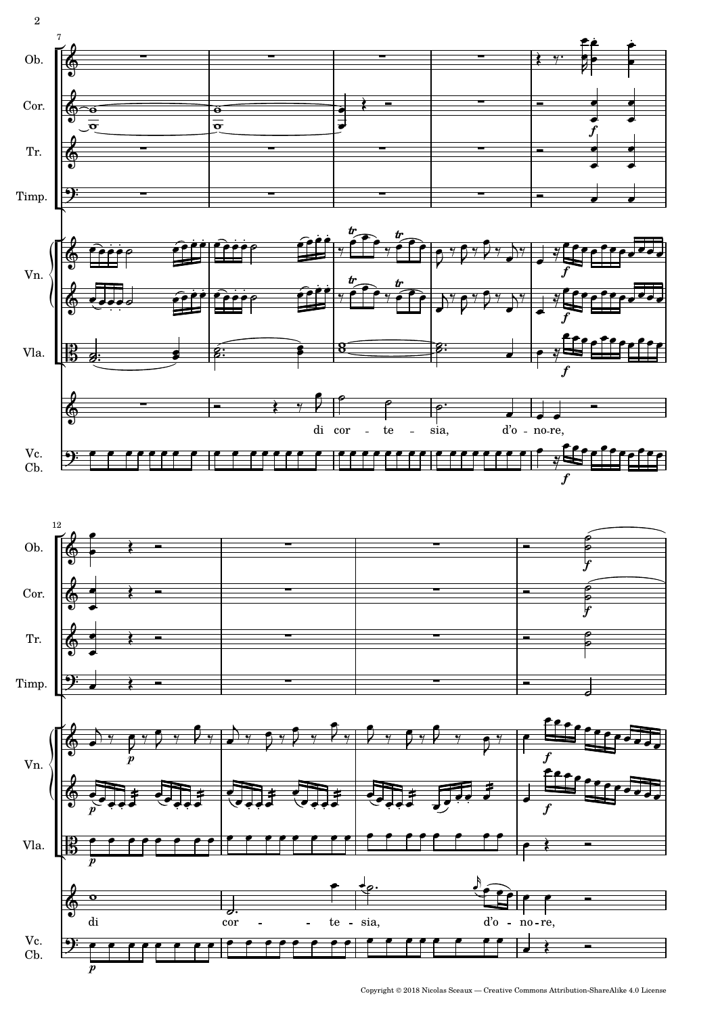

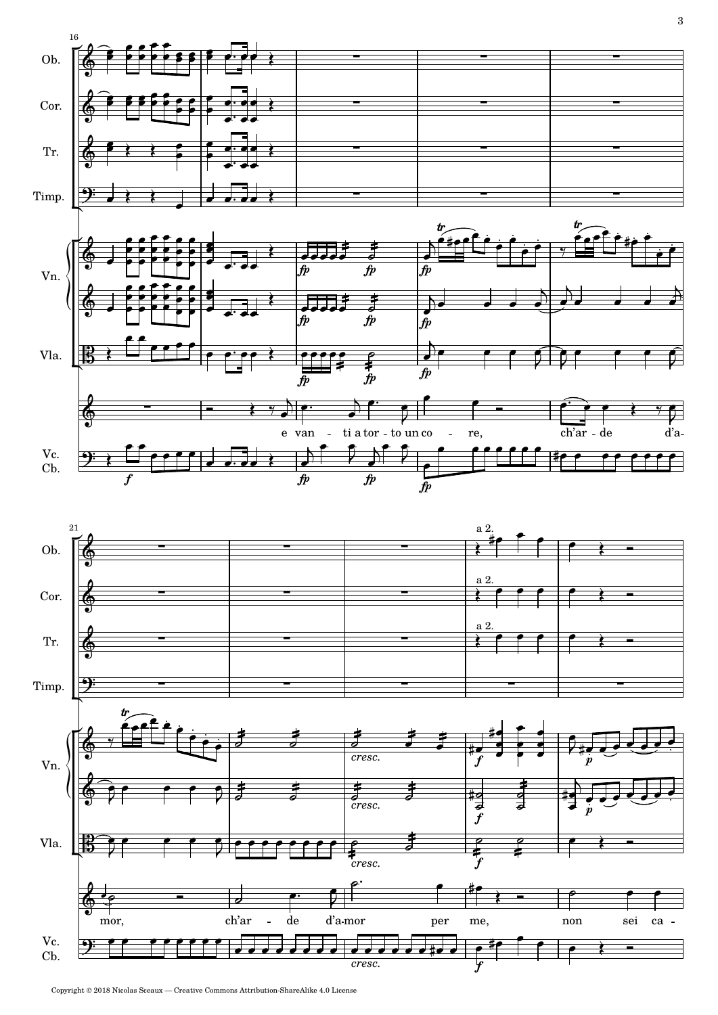



Copyright © 2018 Nicolas Sceaux — Creative Commons Attribution-ShareAlike 4.0 License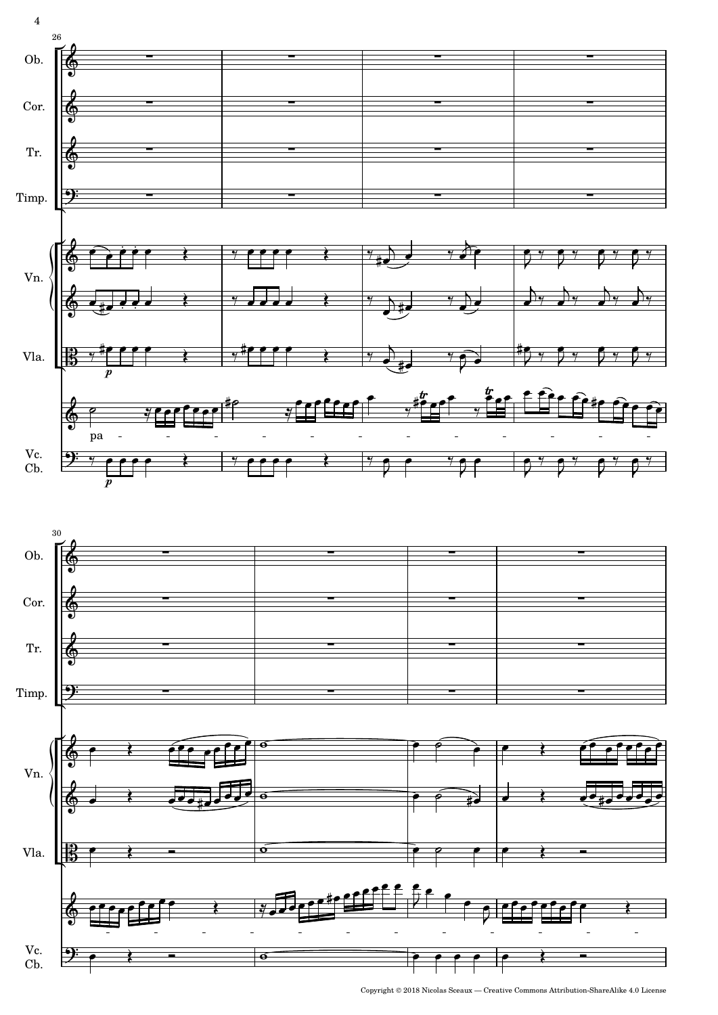

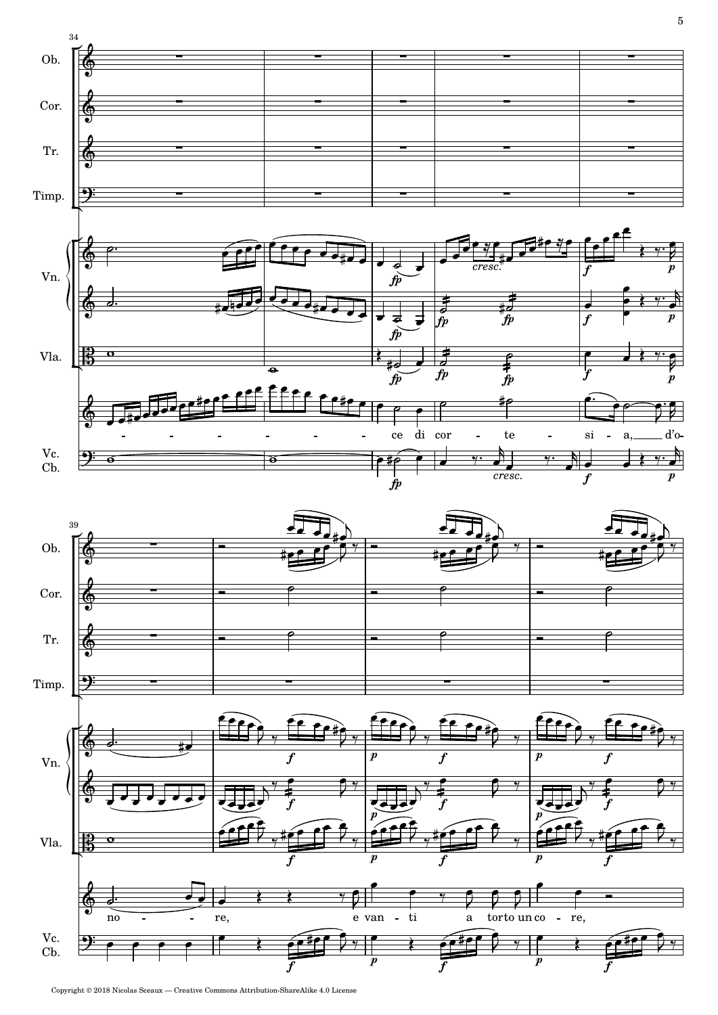





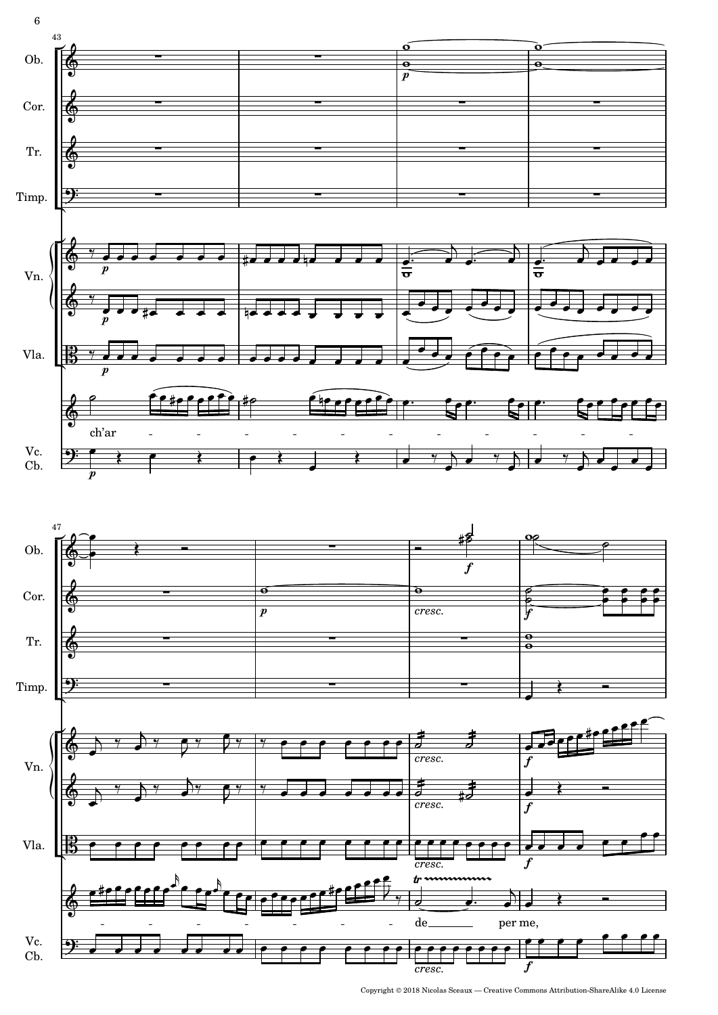

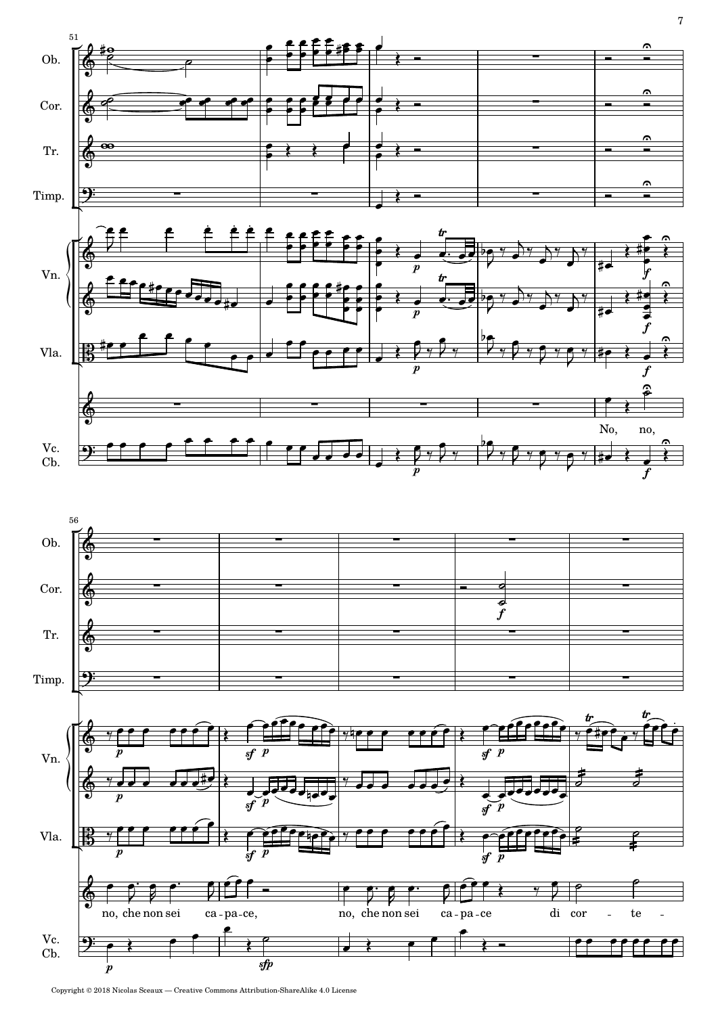

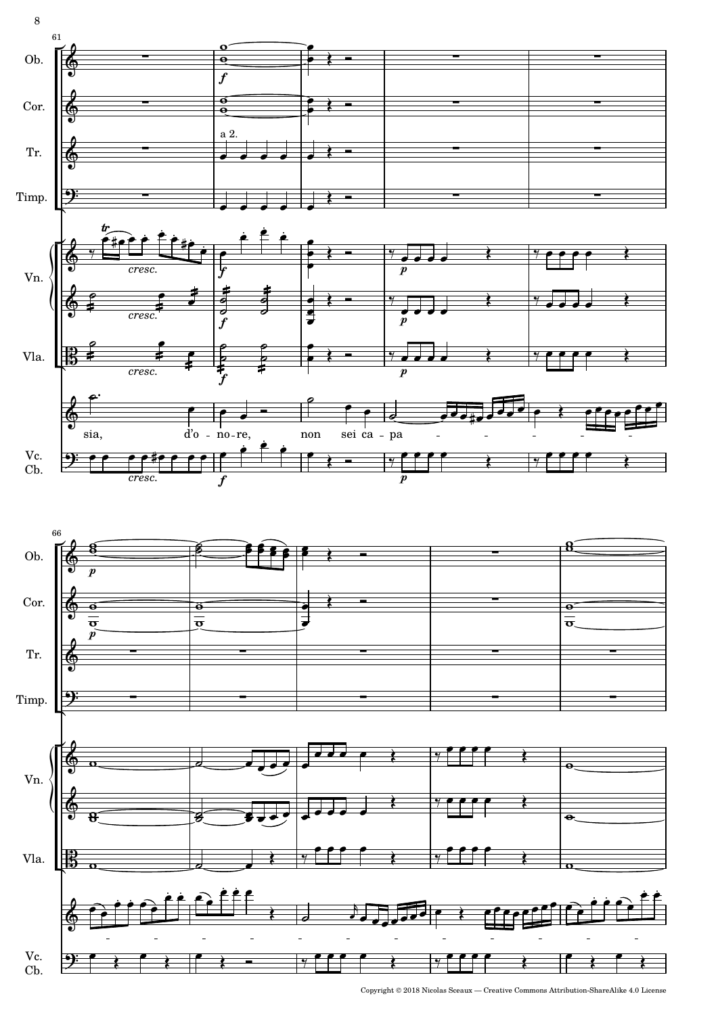



8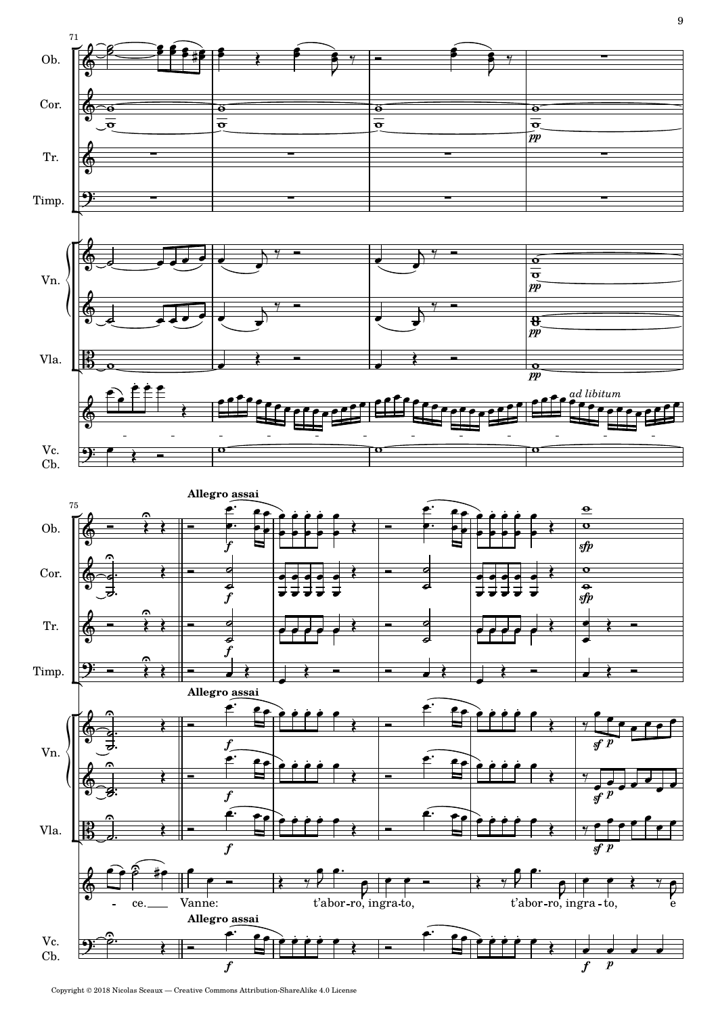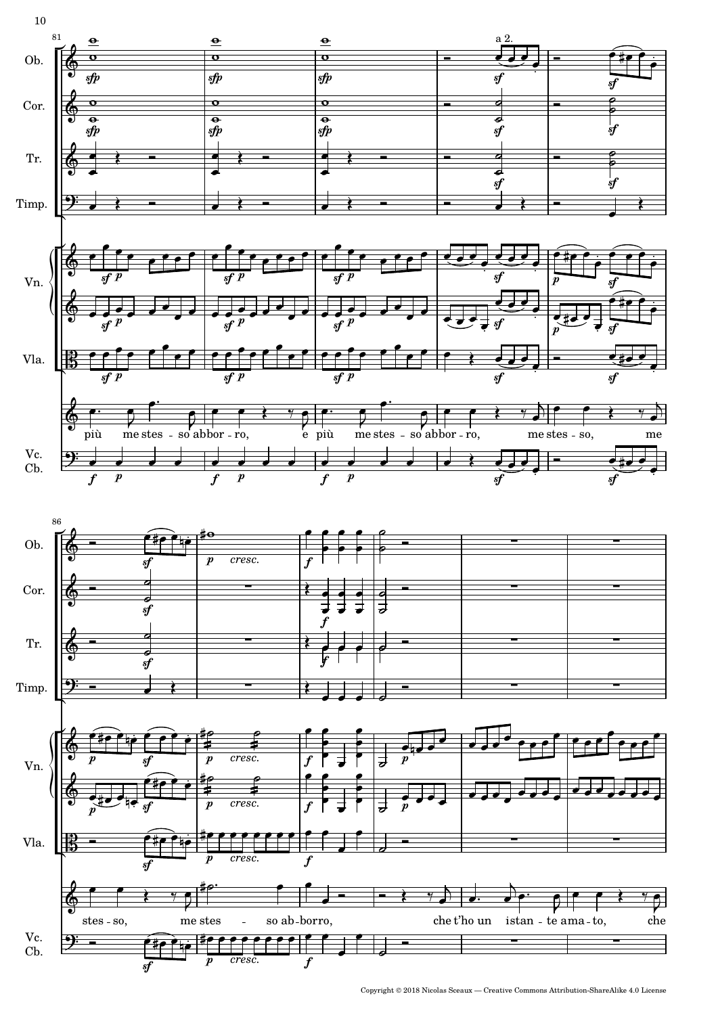

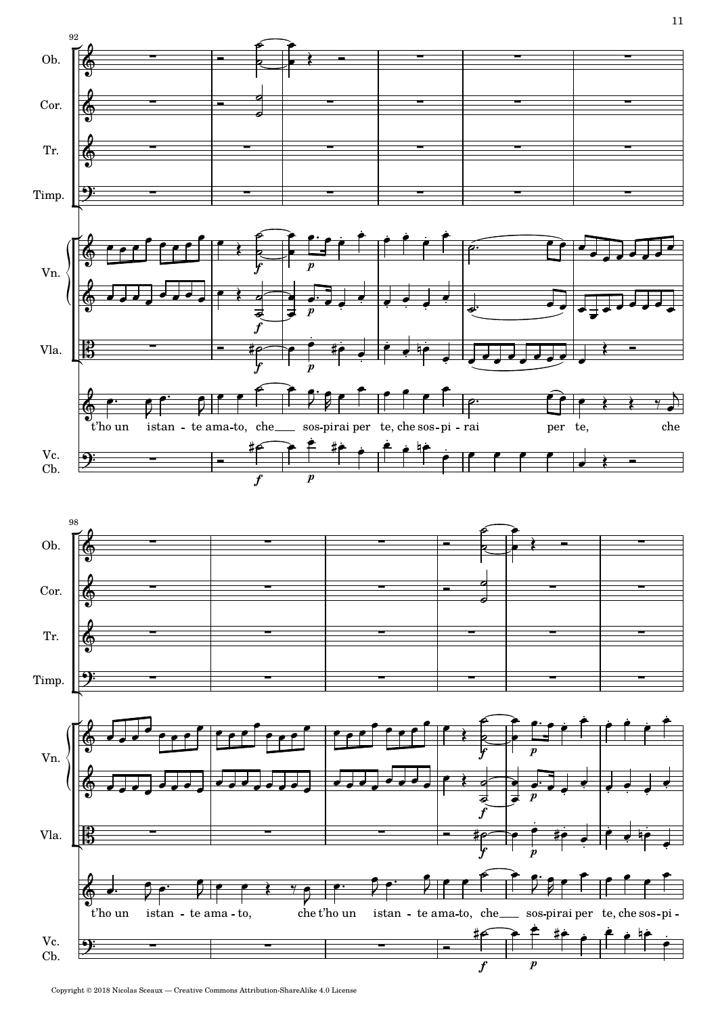

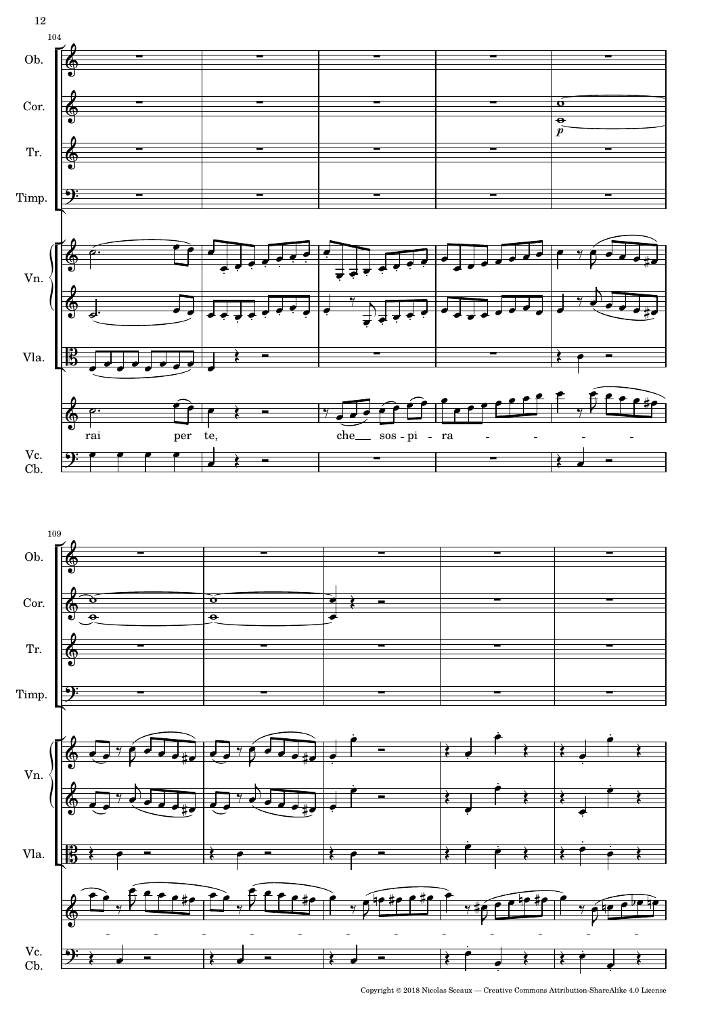

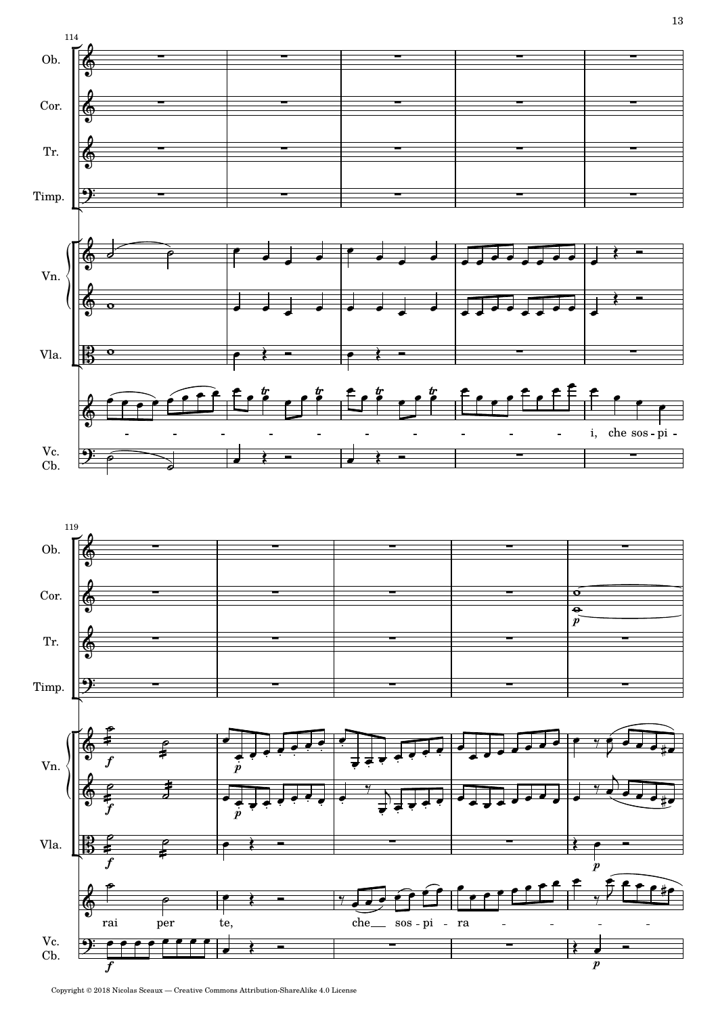

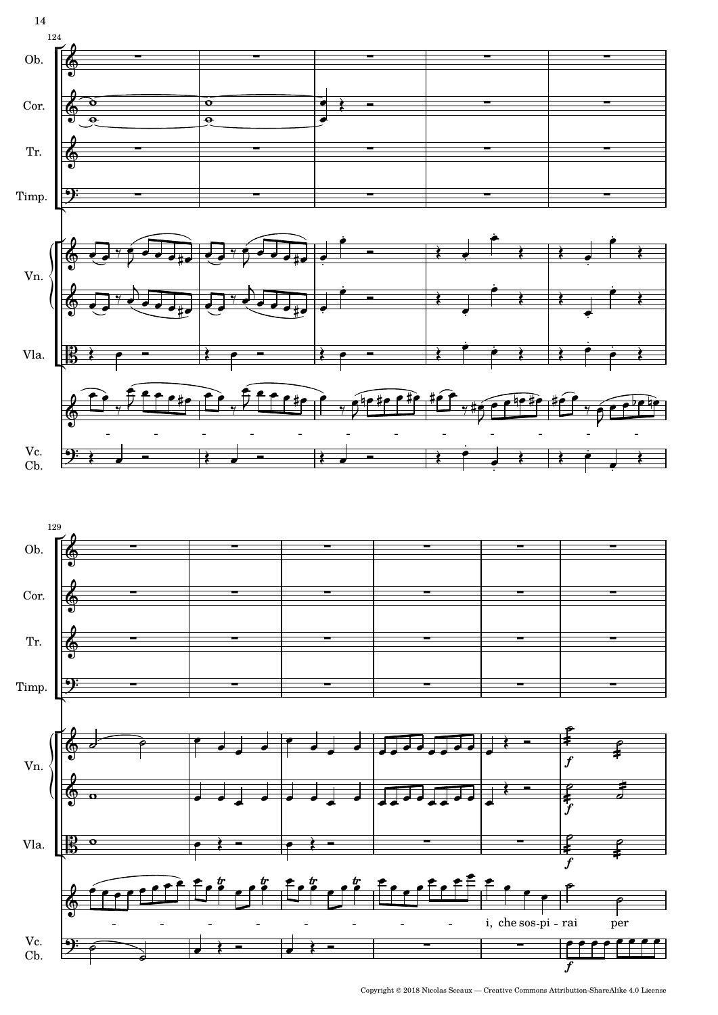